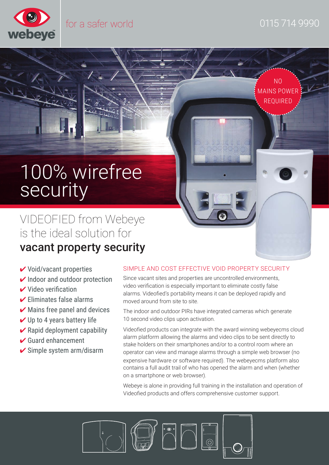

mmhmm

NO MAINS POWER: REQUIRED

# 100% wirefree security

VIDEOFIED from Webeye is the ideal solution for vacant property security

- $\checkmark$  Void/vacant properties
- $\vee$  Indoor and outdoor protection
- $\vee$  Video verification
- $\triangleright$  Eliminates false alarms
- $\blacktriangleright$  Mains free panel and devices
- $\vee$  Up to 4 years battery life
- $\vee$  Rapid deployment capability
- $\checkmark$  Guard enhancement
- $\checkmark$  Simple system arm/disarm

#### SIMPLE AND COST EFFECTIVE VOID PROPERTY SECURITY

Since vacant sites and properties are uncontrolled environments, video verification is especially important to eliminate costly false alarms. Videofied's portability means it can be deployed rapidly and moved around from site to site.

The indoor and outdoor PIRs have integrated cameras which generate 10 second video clips upon activation.

Videofied products can integrate with the award winning webeyecms cloud alarm platform allowing the alarms and video clips to be sent directly to stake holders on their smartphones and/or to a control room where an operator can view and manage alarms through a simple web browser (no expensive hardware or software required). The webeyecms platform also contains a full audit trail of who has opened the alarm and when (whether on a smartphone or web browser).

Webeye is alone in providing full training in the installation and operation of Videofied products and offers comprehensive customer support.